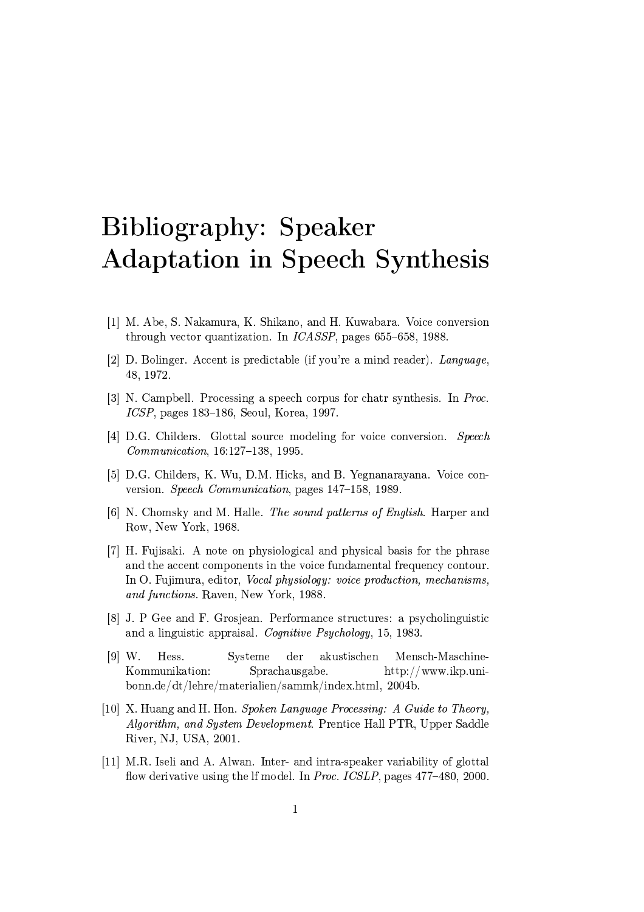## Bibliography: Speaker **Adaptation in Speech Synthesis**

- [1] M. Abe, S. Nakamura, K. Shikano, and H. Kuwabara. Voice conversion through vector quantization. In  $ICASSP$ , pages 655–658, 1988.
- [2] D. Bolinger. Accent is predictable (if you're a mind reader). Language, 48, 1972.
- [3] N. Campbell. Processing a speech corpus for chatr synthesis. In Proc.  $ICSP$ , pages 183–186, Seoul, Korea, 1997.
- [4] D.G. Childers. Glottal source modeling for voice conversion. Speech Communication, 16:127-138, 1995.
- [5] D.G. Childers, K. Wu, D.M. Hicks, and B. Yegnanarayana. Voice conversion. Speech Communication, pages 147-158, 1989.
- [6] N. Chomsky and M. Halle. The sound patterns of English. Harper and Row, New York, 1968.
- [7] H. Fujisaki. A note on physiological and physical basis for the phrase and the accent components in the voice fundamental frequency contour. In O. Fujimura, editor, *Vocal physiology: voice production*, *mechanisms*, and functions. Raven, New York, 1988.
- [8] J. P Gee and F. Grosjean. Performance structures: a psycholinguistic and a linguistic appraisal. Cognitive Psychology, 15, 1983.
- $[9]$  W. Hess. Systeme der akustischen Mensch-Maschine-Kommunikation: Sprachausgabe.  $\frac{http://www.ikp.uni$ bonn.de/dt/lehre/materialien/sammk/index.html, 2004b.
- [10] X. Huang and H. Hon. Spoken Language Processing: A Guide to Theory, *Algorithm, and System Development.* Prentice Hall PTR, Upper Saddle River, NJ, USA, 2001.
- [11] M.R. Iseli and A. Alwan. Inter- and intra-speaker variability of glottal flow derivative using the lf model. In Proc. ICSLP, pages 477-480, 2000.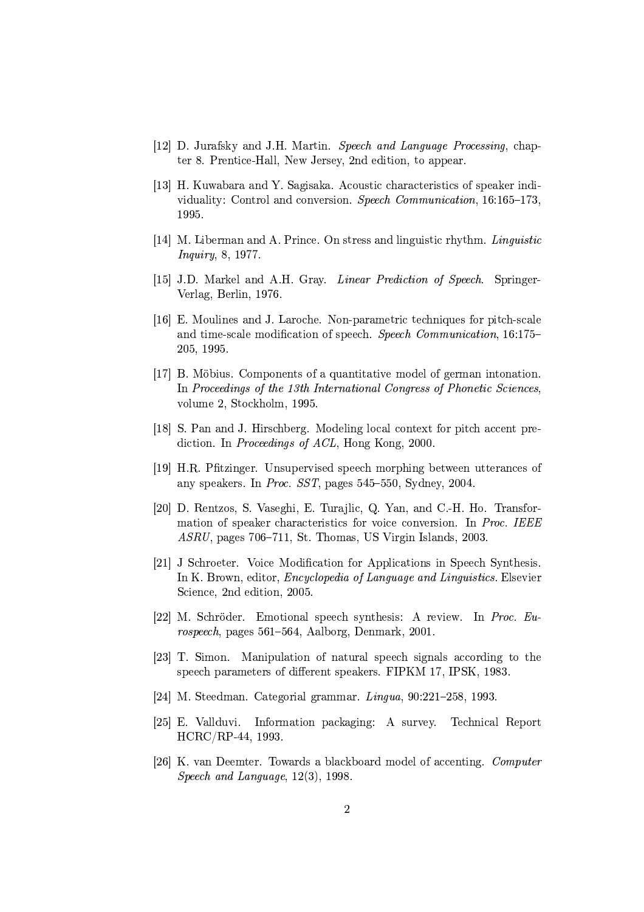- [12] D. Jurafsky and J.H. Martin. Speech and Language Processing, chapter 8. Prentice-Hall, New Jersey, 2nd edition, to appear.
- [13] H. Kuwabara and Y. Sagisaka. Acoustic characteristics of speaker individuality: Control and conversion. Speech Communication, 16:165-173. 1995.
- [14] M. Liberman and A. Prince. On stress and linguistic rhythm. Linguistic *Inquiry*, 8, 1977.
- [15] J.D. Markel and A.H. Gray. *Linear Prediction of Speech.* Springer-Verlag, Berlin, 1976.
- [16] E. Moulines and J. Laroche. Non-parametric techniques for pitch-scale and time-scale modification of speech. Speech Communication, 16:175– 205, 1995.
- [17] B. Möbius. Components of a quantitative model of german intonation. In Proceedings of the 13th International Congress of Phonetic Sciences. volume 2, Stockholm, 1995.
- [18] S. Pan and J. Hirschberg. Modeling local context for pitch accent prediction. In Proceedings of ACL, Hong Kong, 2000.
- [19] H.R. Pfitzinger. Unsupervised speech morphing between utterances of any speakers. In *Proc. SST*, pages  $545-550$ , Sydney, 2004.
- [20] D. Rentzos, S. Vaseghi, E. Turajlic, Q. Yan, and C.-H. Ho. Transformation of speaker characteristics for voice conversion. In Proc. IEEE ASRU, pages 706-711, St. Thomas, US Virgin Islands, 2003.
- [21] J Schroeter. Voice Modification for Applications in Speech Synthesis. In K. Brown, editor, *Encyclopedia of Language and Linguistics*. Elsevier Science, 2nd edition, 2005.
- [22] M. Schröder. Emotional speech synthesis: A review. In Proc. Eurospeech, pages 561–564, Aalborg, Denmark, 2001.
- [23] T. Simon. Manipulation of natural speech signals according to the speech parameters of different speakers. FIPKM 17, IPSK, 1983.
- [24] M. Steedman. Categorial grammar. Lingua, 90:221-258, 1993.
- [25] E. Vallduvi. Information packaging: A survey. Technical Report HCRC/RP-44, 1993.
- [26] K. van Deemter. Towards a blackboard model of accenting. Computer Speech and Language,  $12(3)$ , 1998.